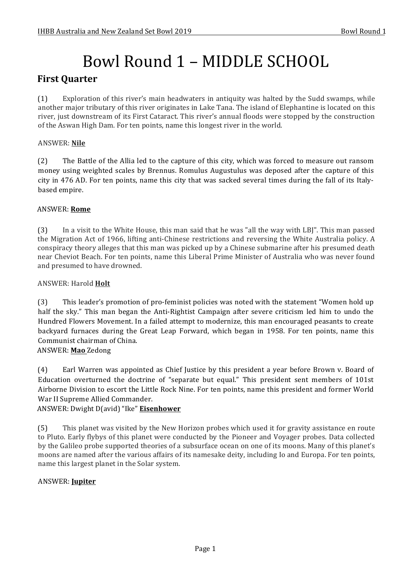# Bowl Round 1 - MIDDLE SCHOOL

# **First Quarter**

(1) Exploration of this river's main headwaters in antiquity was halted by the Sudd swamps, while another major tributary of this river originates in Lake Tana. The island of Elephantine is located on this river, just downstream of its First Cataract. This river's annual floods were stopped by the construction of the Aswan High Dam. For ten points, name this longest river in the world.

# ANSWER: **Nile**

(2) The Battle of the Allia led to the capture of this city, which was forced to measure out ransom money using weighted scales by Brennus. Romulus Augustulus was deposed after the capture of this city in 476 AD. For ten points, name this city that was sacked several times during the fall of its Italybased empire.

## ANSWER: **Rome**

(3) In a visit to the White House, this man said that he was "all the way with LBJ". This man passed the Migration Act of 1966, lifting anti-Chinese restrictions and reversing the White Australia policy. A conspiracy theory alleges that this man was picked up by a Chinese submarine after his presumed death near Cheviot Beach. For ten points, name this Liberal Prime Minister of Australia who was never found and presumed to have drowned.

## ANSWER: Harold **Holt**

(3) This leader's promotion of pro-feminist policies was noted with the statement "Women hold up half the sky." This man began the Anti-Rightist Campaign after severe criticism led him to undo the Hundred Flowers Movement. In a failed attempt to modernize, this man encouraged peasants to create backyard furnaces during the Great Leap Forward, which began in 1958. For ten points, name this Communist chairman of China.

ANSWER: **Mao** Zedong

(4) Earl Warren was appointed as Chief Justice by this president a year before Brown v. Board of Education overturned the doctrine of "separate but equal." This president sent members of 101st Airborne Division to escort the Little Rock Nine. For ten points, name this president and former World War II Supreme Allied Commander.

ANSWER: Dwight D(avid) "Ike" **Eisenhower**

(5) This planet was visited by the New Horizon probes which used it for gravity assistance en route to Pluto. Early flybys of this planet were conducted by the Pioneer and Voyager probes. Data collected by the Galileo probe supported theories of a subsurface ocean on one of its moons. Many of this planet's moons are named after the various affairs of its namesake deity, including Io and Europa. For ten points, name this largest planet in the Solar system.

## ANSWER: **Jupiter**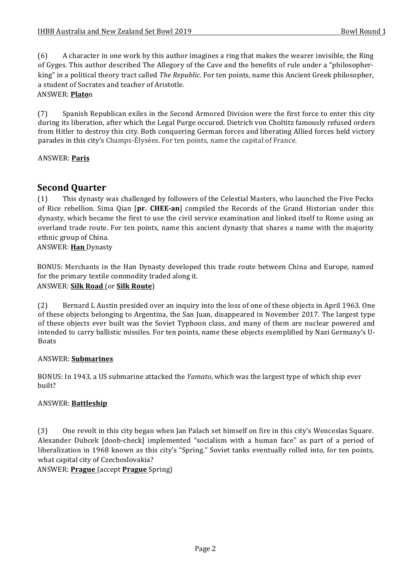(6) A character in one work by this author imagines a ring that makes the wearer invisible, the Ring of Gyges. This author described The Allegory of the Cave and the benefits of rule under a "philosopherking" in a political theory tract called *The Republic*. For ten points, name this Ancient Greek philosopher, a student of Socrates and teacher of Aristotle.

## ANSWER: **Plato**n

(7) Spanish Republican exiles in the Second Armored Division were the first force to enter this city during its liberation, after which the Legal Purge occured. Dietrich von Choltitz famously refused orders from Hitler to destroy this city. Both conquering German forces and liberating Allied forces held victory parades in this city's Champs-Élysées. For ten points, name the capital of France.

## ANSWER: **Paris**

# **Second Quarter**

(1) This dynasty was challenged by followers of the Celestial Masters, who launched the Five Pecks of Rice rebellion. Sima Oian [pr. CHEE-an] compiled the Records of the Grand Historian under this dynasty, which became the first to use the civil service examination and linked itself to Rome using an overland trade route. For ten points, name this ancient dynasty that shares a name with the majority ethnic group of China.

ANSWER: **Han** Dynasty

BONUS: Merchants in the Han Dynasty developed this trade route between China and Europe, named for the primary textile commodity traded along it. ANSWER: **Silk Road** (or **Silk Route**)

(2) Bernard L Austin presided over an inquiry into the loss of one of these objects in April 1963. One of these objects belonging to Argentina, the San Juan, disappeared in November 2017. The largest type of these objects ever built was the Soviet Typhoon class, and many of them are nuclear powered and intended to carry ballistic missiles. For ten points, name these objects exemplified by Nazi Germany's U-Boats

## ANSWER: **Submarines**

BONUS: In 1943, a US submarine attacked the *Yamato*, which was the largest type of which ship ever built?

## ANSWER: **Battleship**

(3) One revolt in this city began when Jan Palach set himself on fire in this city's Wenceslas Square. Alexander Dubcek [doob-check] implemented "socialism with a human face" as part of a period of liberalization in 1968 known as this city's "Spring." Soviet tanks eventually rolled into, for ten points, what capital city of Czechoslovakia?

ANSWER: **Prague** (accept **Prague** Spring)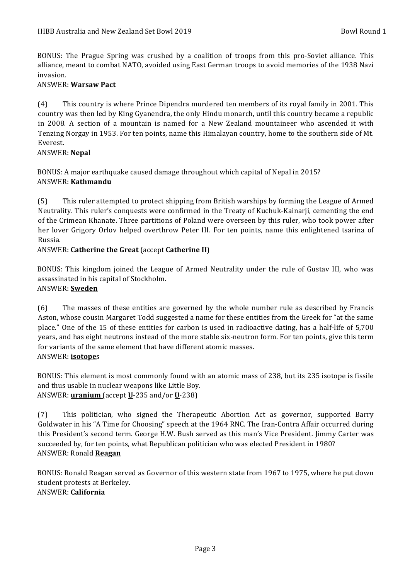BONUS: The Prague Spring was crushed by a coalition of troops from this pro-Soviet alliance. This alliance, meant to combat NATO, avoided using East German troops to avoid memories of the 1938 Nazi invasion.

## ANSWER: **Warsaw Pact**

(4) This country is where Prince Dipendra murdered ten members of its royal family in 2001. This country was then led by King Gyanendra, the only Hindu monarch, until this country became a republic in 2008. A section of a mountain is named for a New Zealand mountaineer who ascended it with Tenzing Norgay in 1953. For ten points, name this Himalayan country, home to the southern side of Mt. Everest.

## ANSWER: **Nepal**

BONUS: A major earthquake caused damage throughout which capital of Nepal in 2015? ANSWER: **Kathmandu**

(5) This ruler attempted to protect shipping from British warships by forming the League of Armed Neutrality. This ruler's conquests were confirmed in the Treaty of Kuchuk-Kainarji, cementing the end of the Crimean Khanate. Three partitions of Poland were overseen by this ruler, who took power after her lover Grigory Orlov helped overthrow Peter III. For ten points, name this enlightened tsarina of Russia.

## ANSWER: **Catherine the Great** (accept **Catherine II**)

BONUS: This kingdom joined the League of Armed Neutrality under the rule of Gustav III, who was assassinated in his capital of Stockholm. ANSWER: **Sweden**

(6) The masses of these entities are governed by the whole number rule as described by Francis Aston, whose cousin Margaret Todd suggested a name for these entities from the Greek for "at the same place." One of the 15 of these entities for carbon is used in radioactive dating, has a half-life of 5,700 years, and has eight neutrons instead of the more stable six-neutron form. For ten points, give this term for variants of the same element that have different atomic masses. ANSWER: **isotope**s

BONUS: This element is most commonly found with an atomic mass of 238, but its 235 isotope is fissile and thus usable in nuclear weapons like Little Boy. ANSWER: **uranium** (accept **U**-235 and/or **U**-238)

(7) This politician, who signed the Therapeutic Abortion Act as governor, supported Barry Goldwater in his "A Time for Choosing" speech at the 1964 RNC. The Iran-Contra Affair occurred during this President's second term. George H.W. Bush served as this man's Vice President. Jimmy Carter was succeeded by, for ten points, what Republican politician who was elected President in 1980? ANSWER: Ronald **Reagan**

BONUS: Ronald Reagan served as Governor of this western state from 1967 to 1975, where he put down student protests at Berkeley. ANSWER: **California**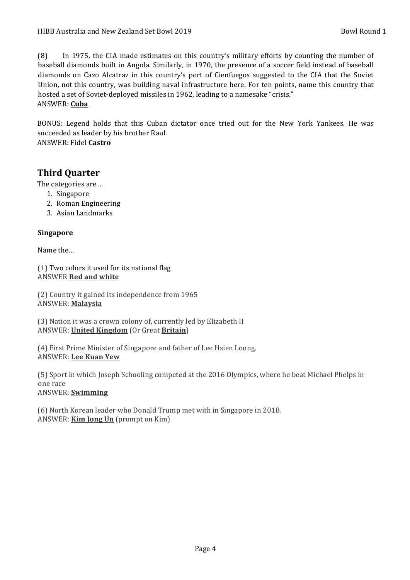(8) In 1975, the CIA made estimates on this country's military efforts by counting the number of baseball diamonds built in Angola. Similarly, in 1970, the presence of a soccer field instead of baseball diamonds on Cazo Alcatraz in this country's port of Cienfuegos suggested to the CIA that the Soviet Union, not this country, was building naval infrastructure here. For ten points, name this country that hosted a set of Soviet-deployed missiles in 1962, leading to a namesake "crisis." ANSWER: **Cuba**

BONUS: Legend holds that this Cuban dictator once tried out for the New York Yankees. He was succeeded as leader by his brother Raul.

ANSWER: Fidel **Castro**

# **Third Ouarter**

The categories are ...

- 1. Singapore
- 2. Roman Engineering
- 3. Asian Landmarks

## **Singapore**

Name the...

 $(1)$  Two colors it used for its national flag **ANSWER Red and white** 

(2) Country it gained its independence from 1965 ANSWER: **Malaysia**

(3) Nation it was a crown colony of, currently led by Elizabeth II ANSWER: **United Kingdom** (Or Great **Britain**)

(4) First Prime Minister of Singapore and father of Lee Hsien Loong. ANSWER: **Lee Kuan Yew**

(5) Sport in which Joseph Schooling competed at the 2016 Olympics, where he beat Michael Phelps in one race ANSWER: **Swimming**

(6) North Korean leader who Donald Trump met with in Singapore in 2018. ANSWER: **Kim Jong Un** (prompt on Kim)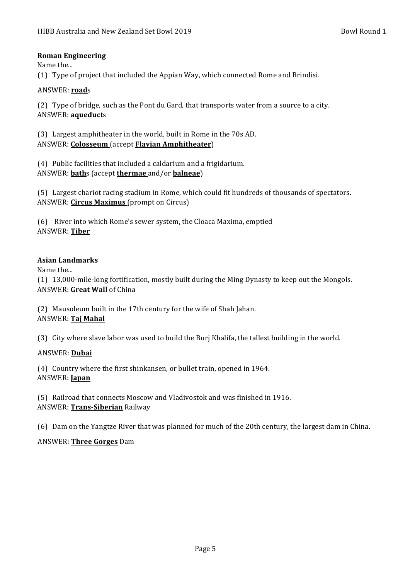## **Roman Engineering**

Name the...

(1) Type of project that included the Appian Way, which connected Rome and Brindisi.

## ANSWER: **road**s

(2) Type of bridge, such as the Pont du Gard, that transports water from a source to a city. ANSWER: **aqueduct**s

(3) Largest amphitheater in the world, built in Rome in the 70s AD. ANSWER: **Colosseum** (accept **Flavian Amphitheater**)

 $(4)$  Public facilities that included a caldarium and a frigidarium. ANSWER: **bath**s (accept **thermae** and/or **balneae**)

(5) Largest chariot racing stadium in Rome, which could fit hundreds of thousands of spectators. ANSWER: **Circus Maximus** (prompt on Circus)

(6) River into which Rome's sewer system, the Cloaca Maxima, emptied ANSWER: **Tiber**

## **Asian Landmarks**

Name the...

(1) 13,000-mile-long fortification, mostly built during the Ming Dynasty to keep out the Mongols. ANSWER: Great Wall of China

(2) Mausoleum built in the 17th century for the wife of Shah Jahan. ANSWER: **Taj Mahal**

(3) City where slave labor was used to build the Buri Khalifa, the tallest building in the world.

## ANSWER: **Dubai**

(4) Country where the first shinkansen, or bullet train, opened in 1964. ANSWER: **Japan**

(5) Railroad that connects Moscow and Vladivostok and was finished in 1916. ANSWER: **Trans-Siberian** Railway

(6) Dam on the Yangtze River that was planned for much of the 20th century, the largest dam in China.

# ANSWER: **Three Gorges** Dam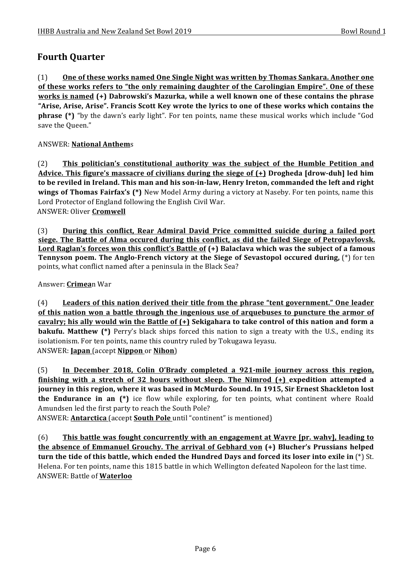# **Fourth Ouarter**

(1) One of these works named One Single Night was written by Thomas Sankara. Another one of these works refers to "the only remaining daughter of the Carolingian Empire". One of these **works is named** (+) Dabrowski's Mazurka, while a well known one of these contains the phrase "Arise, Arise, Arise". Francis Scott Key wrote the lyrics to one of these works which contains the **phrase** (\*) "by the dawn's early light". For ten points, name these musical works which include "God save the Oueen."

# ANSWER: **National Anthem**s

(2) **This politician's constitutional authority was the subject of the Humble Petition and** Advice. This figure's massacre of civilians during the siege of  $(+)$  Drogheda [drow-duh] led him to be reviled in Ireland. This man and his son-in-law, Henry Ireton, commanded the left and right **wings of Thomas Fairfax's (\*)** New Model Army during a victory at Naseby. For ten points, name this Lord Protector of England following the English Civil War. **ANSWER: Oliver Cromwell** 

(3) **During this conflict, Rear Admiral David Price committed suicide during a failed port <u>siege. The Battle of Alma occured during this conflict, as did the failed Siege of Petropavlovsk.</u>** Lord Raglan's forces won this conflict's Battle of (+) Balaclava which was the subject of a famous **Tennyson poem. The Anglo-French victory at the Siege of Sevastopol occured during, (\*)** for ten points, what conflict named after a peninsula in the Black Sea?

Answer: **Crimea**n War

(4) Leaders of this nation derived their title from the phrase "tent government." One leader **<u>of this nation won a battle through the ingenious use of arquebuses to puncture the armor of </u>** cavalry; his ally would win the Battle of  $(+)$  Sekigahara to take control of this nation and form a **bakufu.** Matthew (\*) Perry's black ships forced this nation to sign a treaty with the U.S., ending its isolationism. For ten points, name this country ruled by Tokugawa Ieyasu. ANSWER: **Japan** (accept **Nippon** or **Nihon**)

(5) In December 2018, Colin O'Brady completed a 921-mile journey across this region, **finishing with a stretch of 32 hours without sleep. The Nimrod (+) expedition attempted a** journey in this region, where it was based in McMurdo Sound. In 1915, Sir Ernest Shackleton lost **the Endurance in an (\*)** ice flow while exploring, for ten points, what continent where Roald Amundsen led the first party to reach the South Pole?

ANSWER: **Antarctica** (accept **South Pole** until "continent" is mentioned)

(6) **This battle was fought concurrently with an engagement at Wavre [pr. wahv], leading to the absence of Emmanuel Grouchy. The arrival of Gebhard von (+) Blucher's Prussians helped turn the tide of this battle, which ended the Hundred Days and forced its loser into exile in (\*)** St. Helena. For ten points, name this 1815 battle in which Wellington defeated Napoleon for the last time. ANSWER: Battle of **Waterloo**